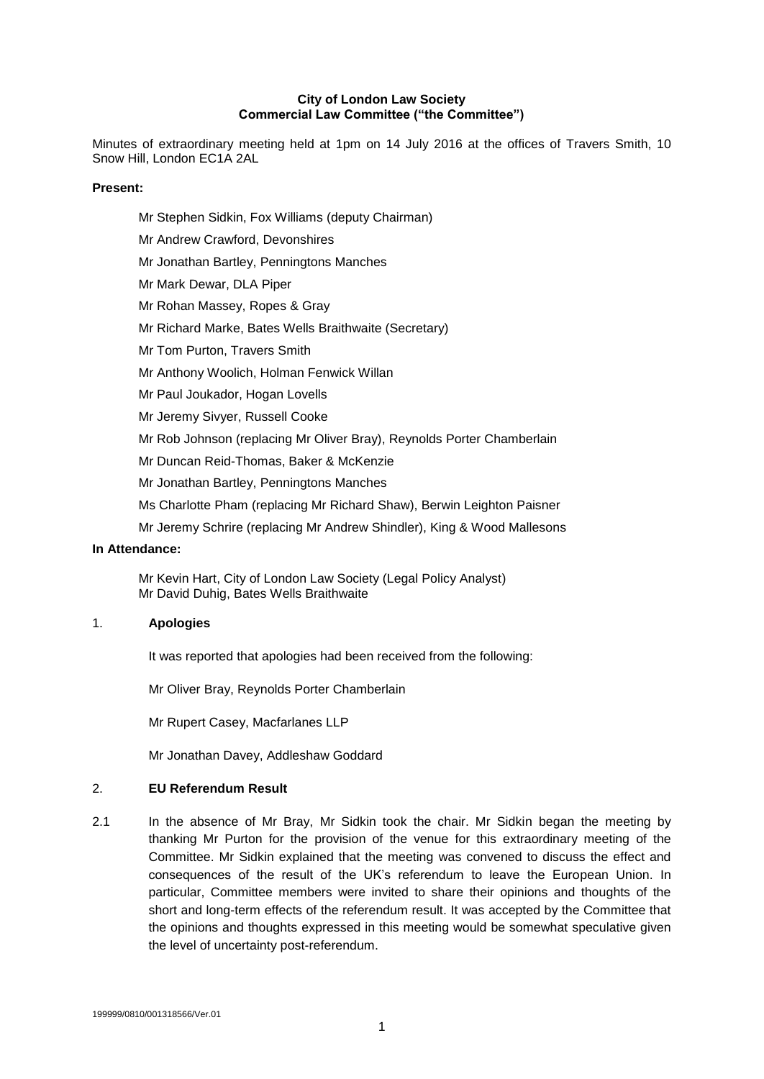### **City of London Law Society Commercial Law Committee ("the Committee")**

Minutes of extraordinary meeting held at 1pm on 14 July 2016 at the offices of Travers Smith, 10 Snow Hill, London EC1A 2AL

### **Present:**

Mr Stephen Sidkin, Fox Williams (deputy Chairman) Mr Andrew Crawford, Devonshires Mr Jonathan Bartley, Penningtons Manches Mr Mark Dewar, DLA Piper Mr Rohan Massey, Ropes & Gray Mr Richard Marke, Bates Wells Braithwaite (Secretary) Mr Tom Purton, Travers Smith Mr Anthony Woolich, Holman Fenwick Willan Mr Paul Joukador, Hogan Lovells Mr Jeremy Sivyer, Russell Cooke Mr Rob Johnson (replacing Mr Oliver Bray), Reynolds Porter Chamberlain Mr Duncan Reid-Thomas, Baker & McKenzie Mr Jonathan Bartley, Penningtons Manches

Ms Charlotte Pham (replacing Mr Richard Shaw), Berwin Leighton Paisner

Mr Jeremy Schrire (replacing Mr Andrew Shindler), King & Wood Mallesons

# **In Attendance:**

Mr Kevin Hart, City of London Law Society (Legal Policy Analyst) Mr David Duhig, Bates Wells Braithwaite

### 1. **Apologies**

It was reported that apologies had been received from the following:

Mr Oliver Bray, Reynolds Porter Chamberlain

Mr Rupert Casey, Macfarlanes LLP

Mr Jonathan Davey, Addleshaw Goddard

#### 2. **EU Referendum Result**

2.1 In the absence of Mr Bray, Mr Sidkin took the chair. Mr Sidkin began the meeting by thanking Mr Purton for the provision of the venue for this extraordinary meeting of the Committee. Mr Sidkin explained that the meeting was convened to discuss the effect and consequences of the result of the UK's referendum to leave the European Union. In particular, Committee members were invited to share their opinions and thoughts of the short and long-term effects of the referendum result. It was accepted by the Committee that the opinions and thoughts expressed in this meeting would be somewhat speculative given the level of uncertainty post-referendum.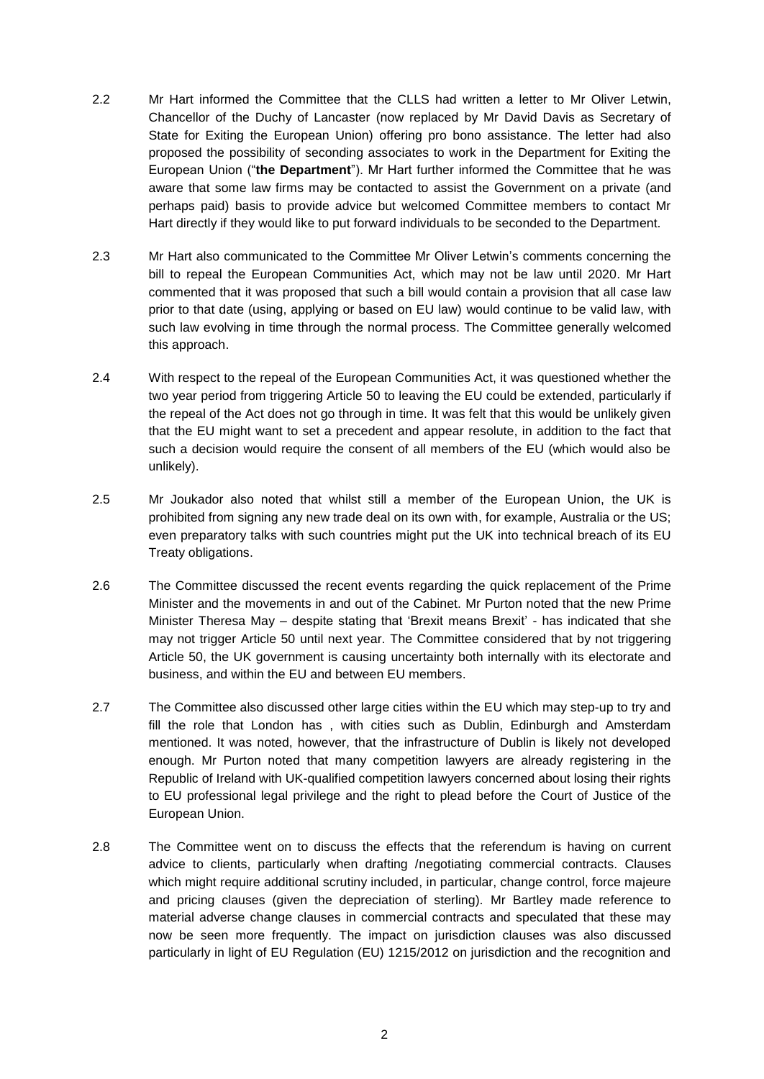- 2.2 Mr Hart informed the Committee that the CLLS had written a letter to Mr Oliver Letwin, Chancellor of the Duchy of Lancaster (now replaced by Mr David Davis as Secretary of State for Exiting the European Union) offering pro bono assistance. The letter had also proposed the possibility of seconding associates to work in the Department for Exiting the European Union ("**the Department**"). Mr Hart further informed the Committee that he was aware that some law firms may be contacted to assist the Government on a private (and perhaps paid) basis to provide advice but welcomed Committee members to contact Mr Hart directly if they would like to put forward individuals to be seconded to the Department.
- 2.3 Mr Hart also communicated to the Committee Mr Oliver Letwin's comments concerning the bill to repeal the European Communities Act, which may not be law until 2020. Mr Hart commented that it was proposed that such a bill would contain a provision that all case law prior to that date (using, applying or based on EU law) would continue to be valid law, with such law evolving in time through the normal process. The Committee generally welcomed this approach.
- 2.4 With respect to the repeal of the European Communities Act, it was questioned whether the two year period from triggering Article 50 to leaving the EU could be extended, particularly if the repeal of the Act does not go through in time. It was felt that this would be unlikely given that the EU might want to set a precedent and appear resolute, in addition to the fact that such a decision would require the consent of all members of the EU (which would also be unlikely).
- 2.5 Mr Joukador also noted that whilst still a member of the European Union, the UK is prohibited from signing any new trade deal on its own with, for example, Australia or the US; even preparatory talks with such countries might put the UK into technical breach of its EU Treaty obligations.
- 2.6 The Committee discussed the recent events regarding the quick replacement of the Prime Minister and the movements in and out of the Cabinet. Mr Purton noted that the new Prime Minister Theresa May – despite stating that 'Brexit means Brexit' - has indicated that she may not trigger Article 50 until next year. The Committee considered that by not triggering Article 50, the UK government is causing uncertainty both internally with its electorate and business, and within the EU and between EU members.
- 2.7 The Committee also discussed other large cities within the EU which may step-up to try and fill the role that London has , with cities such as Dublin, Edinburgh and Amsterdam mentioned. It was noted, however, that the infrastructure of Dublin is likely not developed enough. Mr Purton noted that many competition lawyers are already registering in the Republic of Ireland with UK-qualified competition lawyers concerned about losing their rights to EU professional legal privilege and the right to plead before the Court of Justice of the European Union.
- 2.8 The Committee went on to discuss the effects that the referendum is having on current advice to clients, particularly when drafting /negotiating commercial contracts. Clauses which might require additional scrutiny included, in particular, change control, force majeure and pricing clauses (given the depreciation of sterling). Mr Bartley made reference to material adverse change clauses in commercial contracts and speculated that these may now be seen more frequently. The impact on jurisdiction clauses was also discussed particularly in light of EU Regulation (EU) 1215/2012 on jurisdiction and the recognition and